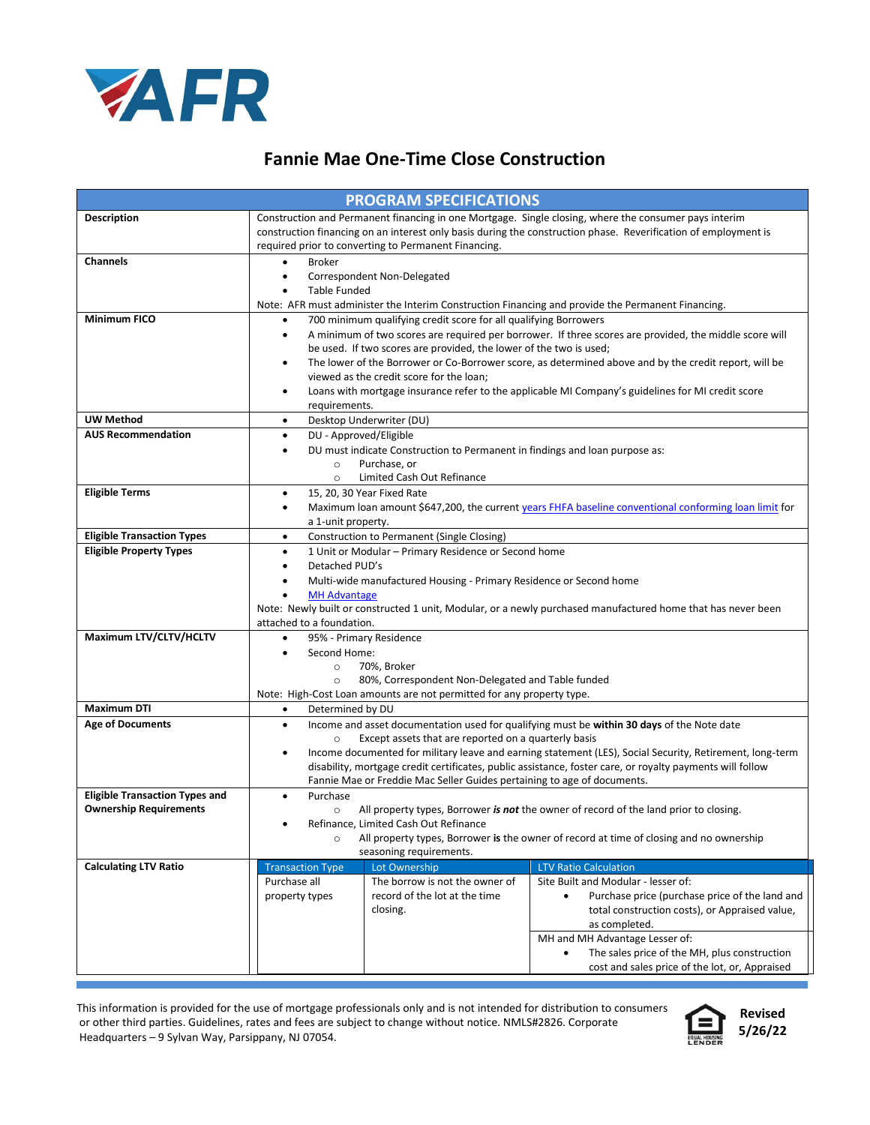

## **Fannie Mae One-Time Close Construction**

| <b>PROGRAM SPECIFICATIONS</b>         |                                                                                                                                                                                      |                                                                 |                                                                                         |  |  |
|---------------------------------------|--------------------------------------------------------------------------------------------------------------------------------------------------------------------------------------|-----------------------------------------------------------------|-----------------------------------------------------------------------------------------|--|--|
| <b>Description</b>                    | Construction and Permanent financing in one Mortgage. Single closing, where the consumer pays interim                                                                                |                                                                 |                                                                                         |  |  |
|                                       | construction financing on an interest only basis during the construction phase. Reverification of employment is                                                                      |                                                                 |                                                                                         |  |  |
|                                       | required prior to converting to Permanent Financing.                                                                                                                                 |                                                                 |                                                                                         |  |  |
| <b>Channels</b>                       | <b>Broker</b><br>٠                                                                                                                                                                   |                                                                 |                                                                                         |  |  |
|                                       | Correspondent Non-Delegated<br>٠                                                                                                                                                     |                                                                 |                                                                                         |  |  |
|                                       | <b>Table Funded</b><br>$\bullet$                                                                                                                                                     |                                                                 |                                                                                         |  |  |
| <b>Minimum FICO</b>                   | Note: AFR must administer the Interim Construction Financing and provide the Permanent Financing.                                                                                    |                                                                 |                                                                                         |  |  |
|                                       | 700 minimum qualifying credit score for all qualifying Borrowers<br>٠<br>A minimum of two scores are required per borrower. If three scores are provided, the middle score will<br>٠ |                                                                 |                                                                                         |  |  |
|                                       | be used. If two scores are provided, the lower of the two is used;                                                                                                                   |                                                                 |                                                                                         |  |  |
|                                       | The lower of the Borrower or Co-Borrower score, as determined above and by the credit report, will be<br>٠                                                                           |                                                                 |                                                                                         |  |  |
|                                       |                                                                                                                                                                                      | viewed as the credit score for the loan;                        |                                                                                         |  |  |
|                                       | Loans with mortgage insurance refer to the applicable MI Company's guidelines for MI credit score<br>٠                                                                               |                                                                 |                                                                                         |  |  |
|                                       | requirements.                                                                                                                                                                        |                                                                 |                                                                                         |  |  |
| <b>UW Method</b>                      | Desktop Underwriter (DU)<br>$\bullet$                                                                                                                                                |                                                                 |                                                                                         |  |  |
| <b>AUS Recommendation</b>             | DU - Approved/Eligible<br>$\bullet$                                                                                                                                                  |                                                                 |                                                                                         |  |  |
|                                       | DU must indicate Construction to Permanent in findings and loan purpose as:<br>٠<br>Purchase, or                                                                                     |                                                                 |                                                                                         |  |  |
|                                       | $\circ$<br>$\circ$                                                                                                                                                                   | Limited Cash Out Refinance                                      |                                                                                         |  |  |
| <b>Eligible Terms</b>                 | 15, 20, 30 Year Fixed Rate<br>$\bullet$                                                                                                                                              |                                                                 |                                                                                         |  |  |
|                                       | Maximum loan amount \$647,200, the current years FHFA baseline conventional conforming loan limit for<br>٠                                                                           |                                                                 |                                                                                         |  |  |
|                                       | a 1-unit property.                                                                                                                                                                   |                                                                 |                                                                                         |  |  |
| <b>Eligible Transaction Types</b>     | Construction to Permanent (Single Closing)<br>$\bullet$                                                                                                                              |                                                                 |                                                                                         |  |  |
| <b>Eligible Property Types</b>        | 1 Unit or Modular - Primary Residence or Second home<br>$\bullet$                                                                                                                    |                                                                 |                                                                                         |  |  |
|                                       | Detached PUD's<br>$\bullet$                                                                                                                                                          |                                                                 |                                                                                         |  |  |
|                                       | Multi-wide manufactured Housing - Primary Residence or Second home<br>$\bullet$                                                                                                      |                                                                 |                                                                                         |  |  |
|                                       | <b>MH Advantage</b><br>٠                                                                                                                                                             |                                                                 |                                                                                         |  |  |
|                                       | Note: Newly built or constructed 1 unit, Modular, or a newly purchased manufactured home that has never been                                                                         |                                                                 |                                                                                         |  |  |
| Maximum LTV/CLTV/HCLTV                | attached to a foundation.<br>$\bullet$                                                                                                                                               |                                                                 |                                                                                         |  |  |
|                                       | 95% - Primary Residence<br>Second Home:<br>$\bullet$                                                                                                                                 |                                                                 |                                                                                         |  |  |
|                                       | 70%, Broker<br>$\circ$                                                                                                                                                               |                                                                 |                                                                                         |  |  |
|                                       | 80%, Correspondent Non-Delegated and Table funded<br>$\circ$                                                                                                                         |                                                                 |                                                                                         |  |  |
|                                       | Note: High-Cost Loan amounts are not permitted for any property type.                                                                                                                |                                                                 |                                                                                         |  |  |
| <b>Maximum DTI</b>                    | Determined by DU<br>٠                                                                                                                                                                |                                                                 |                                                                                         |  |  |
| <b>Age of Documents</b>               | Income and asset documentation used for qualifying must be within 30 days of the Note date<br>$\bullet$                                                                              |                                                                 |                                                                                         |  |  |
|                                       | Except assets that are reported on a quarterly basis<br>$\circ$                                                                                                                      |                                                                 |                                                                                         |  |  |
|                                       | Income documented for military leave and earning statement (LES), Social Security, Retirement, long-term<br>٠                                                                        |                                                                 |                                                                                         |  |  |
|                                       | disability, mortgage credit certificates, public assistance, foster care, or royalty payments will follow<br>Fannie Mae or Freddie Mac Seller Guides pertaining to age of documents. |                                                                 |                                                                                         |  |  |
| <b>Eligible Transaction Types and</b> | Purchase                                                                                                                                                                             |                                                                 |                                                                                         |  |  |
| <b>Ownership Requirements</b>         | $\circ$                                                                                                                                                                              |                                                                 | All property types, Borrower is not the owner of record of the land prior to closing.   |  |  |
|                                       | ٠                                                                                                                                                                                    | Refinance. Limited Cash Out Refinance                           |                                                                                         |  |  |
|                                       | $\circ$                                                                                                                                                                              |                                                                 | All property types, Borrower is the owner of record at time of closing and no ownership |  |  |
|                                       |                                                                                                                                                                                      | seasoning requirements.                                         |                                                                                         |  |  |
| <b>Calculating LTV Ratio</b>          | <b>Transaction Type</b>                                                                                                                                                              | Lot Ownership                                                   | <b>LTV Ratio Calculation</b>                                                            |  |  |
|                                       | Purchase all<br>property types                                                                                                                                                       | The borrow is not the owner of<br>record of the lot at the time | Site Built and Modular - lesser of:<br>Purchase price (purchase price of the land and   |  |  |
|                                       | closing.                                                                                                                                                                             |                                                                 | total construction costs), or Appraised value,                                          |  |  |
|                                       |                                                                                                                                                                                      |                                                                 | as completed.                                                                           |  |  |
|                                       |                                                                                                                                                                                      |                                                                 | MH and MH Advantage Lesser of:                                                          |  |  |
|                                       |                                                                                                                                                                                      |                                                                 | The sales price of the MH, plus construction                                            |  |  |
|                                       |                                                                                                                                                                                      |                                                                 | cost and sales price of the lot, or, Appraised                                          |  |  |

This information is provided for the use of mortgage professionals only and is not intended for distribution to consumers or other third parties. Guidelines, rates and fees are subject to change without notice. NMLS#2826. Corporate Headquarters – 9 Sylvan Way, Parsippany, NJ 07054.

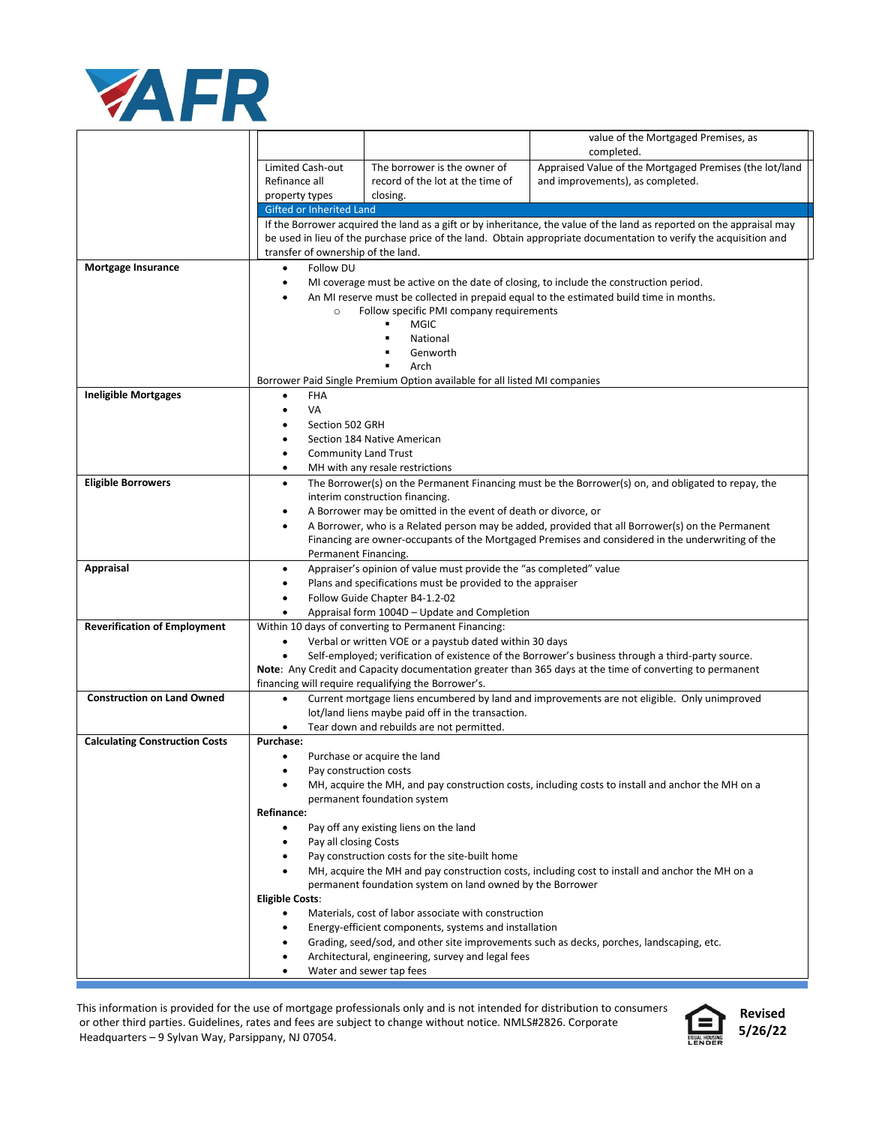

|                                       |                                                                                                                                                                                                                    |                                                                                                               | value of the Mortgaged Premises, as<br>completed.                                                        |  |  |
|---------------------------------------|--------------------------------------------------------------------------------------------------------------------------------------------------------------------------------------------------------------------|---------------------------------------------------------------------------------------------------------------|----------------------------------------------------------------------------------------------------------|--|--|
|                                       | Limited Cash-out                                                                                                                                                                                                   | The borrower is the owner of                                                                                  | Appraised Value of the Mortgaged Premises (the lot/land                                                  |  |  |
|                                       | Refinance all                                                                                                                                                                                                      | record of the lot at the time of                                                                              | and improvements), as completed.                                                                         |  |  |
|                                       | property types                                                                                                                                                                                                     | closing.                                                                                                      |                                                                                                          |  |  |
|                                       | Gifted or Inherited Land<br>If the Borrower acquired the land as a gift or by inheritance, the value of the land as reported on the appraisal may                                                                  |                                                                                                               |                                                                                                          |  |  |
|                                       | be used in lieu of the purchase price of the land. Obtain appropriate documentation to verify the acquisition and                                                                                                  |                                                                                                               |                                                                                                          |  |  |
|                                       | transfer of ownership of the land.                                                                                                                                                                                 |                                                                                                               |                                                                                                          |  |  |
| <b>Mortgage Insurance</b>             | Follow DU<br>$\bullet$<br>MI coverage must be active on the date of closing, to include the construction period.<br>٠                                                                                              |                                                                                                               |                                                                                                          |  |  |
|                                       | An MI reserve must be collected in prepaid equal to the estimated build time in months.                                                                                                                            |                                                                                                               |                                                                                                          |  |  |
|                                       | Follow specific PMI company requirements<br>$\circ$                                                                                                                                                                |                                                                                                               |                                                                                                          |  |  |
|                                       | <b>MGIC</b><br>$\blacksquare$                                                                                                                                                                                      |                                                                                                               |                                                                                                          |  |  |
|                                       | National<br>Genworth                                                                                                                                                                                               |                                                                                                               |                                                                                                          |  |  |
|                                       | Arch                                                                                                                                                                                                               |                                                                                                               |                                                                                                          |  |  |
|                                       | Borrower Paid Single Premium Option available for all listed MI companies                                                                                                                                          |                                                                                                               |                                                                                                          |  |  |
| <b>Ineligible Mortgages</b>           | <b>FHA</b><br>٠                                                                                                                                                                                                    |                                                                                                               |                                                                                                          |  |  |
|                                       | VA<br>$\bullet$                                                                                                                                                                                                    |                                                                                                               |                                                                                                          |  |  |
|                                       | Section 502 GRH<br>Section 184 Native American<br>٠                                                                                                                                                                |                                                                                                               |                                                                                                          |  |  |
|                                       | <b>Community Land Trust</b><br>٠                                                                                                                                                                                   |                                                                                                               |                                                                                                          |  |  |
|                                       | $\bullet$                                                                                                                                                                                                          | MH with any resale restrictions                                                                               |                                                                                                          |  |  |
| <b>Eligible Borrowers</b>             | The Borrower(s) on the Permanent Financing must be the Borrower(s) on, and obligated to repay, the<br>٠                                                                                                            |                                                                                                               |                                                                                                          |  |  |
|                                       | interim construction financing.                                                                                                                                                                                    |                                                                                                               |                                                                                                          |  |  |
|                                       | A Borrower may be omitted in the event of death or divorce, or<br>٠                                                                                                                                                |                                                                                                               |                                                                                                          |  |  |
|                                       | A Borrower, who is a Related person may be added, provided that all Borrower(s) on the Permanent<br>$\bullet$<br>Financing are owner-occupants of the Mortgaged Premises and considered in the underwriting of the |                                                                                                               |                                                                                                          |  |  |
|                                       | Permanent Financing.                                                                                                                                                                                               |                                                                                                               |                                                                                                          |  |  |
| <b>Appraisal</b>                      | Appraiser's opinion of value must provide the "as completed" value<br>٠                                                                                                                                            |                                                                                                               |                                                                                                          |  |  |
|                                       | Plans and specifications must be provided to the appraiser<br>٠<br>Follow Guide Chapter B4-1.2-02                                                                                                                  |                                                                                                               |                                                                                                          |  |  |
|                                       | ٠                                                                                                                                                                                                                  |                                                                                                               |                                                                                                          |  |  |
| <b>Reverification of Employment</b>   | Appraisal form 1004D - Update and Completion<br>Within 10 days of converting to Permanent Financing:                                                                                                               |                                                                                                               |                                                                                                          |  |  |
|                                       | Verbal or written VOE or a paystub dated within 30 days<br>٠                                                                                                                                                       |                                                                                                               |                                                                                                          |  |  |
|                                       | Self-employed; verification of existence of the Borrower's business through a third-party source.<br>٠                                                                                                             |                                                                                                               |                                                                                                          |  |  |
|                                       |                                                                                                                                                                                                                    | financing will require requalifying the Borrower's.                                                           | Note: Any Credit and Capacity documentation greater than 365 days at the time of converting to permanent |  |  |
| <b>Construction on Land Owned</b>     | ٠                                                                                                                                                                                                                  |                                                                                                               | Current mortgage liens encumbered by land and improvements are not eligible. Only unimproved             |  |  |
|                                       |                                                                                                                                                                                                                    | lot/land liens maybe paid off in the transaction.                                                             |                                                                                                          |  |  |
|                                       |                                                                                                                                                                                                                    | Tear down and rebuilds are not permitted.                                                                     |                                                                                                          |  |  |
| <b>Calculating Construction Costs</b> | <b>Purchase:</b>                                                                                                                                                                                                   |                                                                                                               |                                                                                                          |  |  |
|                                       | $\bullet$<br>Pay construction costs                                                                                                                                                                                | Purchase or acquire the land                                                                                  |                                                                                                          |  |  |
|                                       |                                                                                                                                                                                                                    |                                                                                                               | MH, acquire the MH, and pay construction costs, including costs to install and anchor the MH on a        |  |  |
|                                       |                                                                                                                                                                                                                    | permanent foundation system                                                                                   |                                                                                                          |  |  |
|                                       | <b>Refinance:</b>                                                                                                                                                                                                  |                                                                                                               |                                                                                                          |  |  |
|                                       | $\bullet$                                                                                                                                                                                                          | Pay off any existing liens on the land                                                                        |                                                                                                          |  |  |
|                                       | Pay all closing Costs<br>٠<br>٠                                                                                                                                                                                    | Pay construction costs for the site-built home                                                                |                                                                                                          |  |  |
|                                       |                                                                                                                                                                                                                    |                                                                                                               | MH, acquire the MH and pay construction costs, including cost to install and anchor the MH on a          |  |  |
|                                       |                                                                                                                                                                                                                    | permanent foundation system on land owned by the Borrower                                                     |                                                                                                          |  |  |
|                                       | <b>Eligible Costs:</b>                                                                                                                                                                                             |                                                                                                               |                                                                                                          |  |  |
|                                       | ٠                                                                                                                                                                                                                  | Materials, cost of labor associate with construction<br>Energy-efficient components, systems and installation |                                                                                                          |  |  |
|                                       | ٠                                                                                                                                                                                                                  |                                                                                                               | Grading, seed/sod, and other site improvements such as decks, porches, landscaping, etc.                 |  |  |
|                                       |                                                                                                                                                                                                                    | Architectural, engineering, survey and legal fees                                                             |                                                                                                          |  |  |
|                                       | $\bullet$                                                                                                                                                                                                          | Water and sewer tap fees                                                                                      |                                                                                                          |  |  |

This information is provided for the use of mortgage professionals only and is not intended for distribution to consumers or other third parties. Guidelines, rates and fees are subject to change without notice. NMLS#2826. Corporate Headquarters – 9 Sylvan Way, Parsippany, NJ 07054.



**Revised 5/26/22**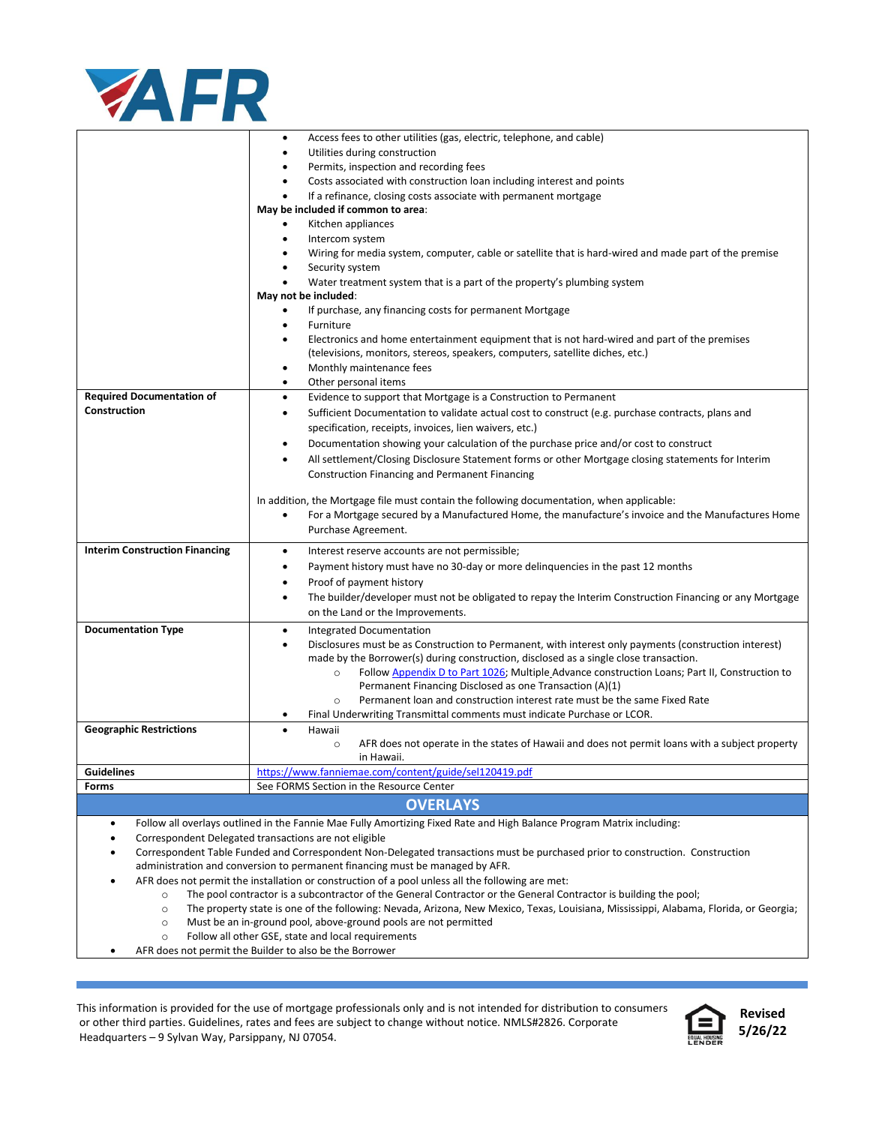

|                                                                                                                                                                                                                            | Access fees to other utilities (gas, electric, telephone, and cable)<br>٠                                                                                                                            |  |  |  |
|----------------------------------------------------------------------------------------------------------------------------------------------------------------------------------------------------------------------------|------------------------------------------------------------------------------------------------------------------------------------------------------------------------------------------------------|--|--|--|
|                                                                                                                                                                                                                            | Utilities during construction<br>٠                                                                                                                                                                   |  |  |  |
|                                                                                                                                                                                                                            | Permits, inspection and recording fees<br>٠                                                                                                                                                          |  |  |  |
|                                                                                                                                                                                                                            | Costs associated with construction loan including interest and points<br>٠                                                                                                                           |  |  |  |
|                                                                                                                                                                                                                            | If a refinance, closing costs associate with permanent mortgage<br>$\bullet$                                                                                                                         |  |  |  |
|                                                                                                                                                                                                                            | May be included if common to area:                                                                                                                                                                   |  |  |  |
|                                                                                                                                                                                                                            | Kitchen appliances<br>٠                                                                                                                                                                              |  |  |  |
|                                                                                                                                                                                                                            | Intercom system<br>٠                                                                                                                                                                                 |  |  |  |
|                                                                                                                                                                                                                            | Wiring for media system, computer, cable or satellite that is hard-wired and made part of the premise                                                                                                |  |  |  |
|                                                                                                                                                                                                                            | Security system<br>٠                                                                                                                                                                                 |  |  |  |
|                                                                                                                                                                                                                            | Water treatment system that is a part of the property's plumbing system<br>٠                                                                                                                         |  |  |  |
|                                                                                                                                                                                                                            | May not be included:                                                                                                                                                                                 |  |  |  |
|                                                                                                                                                                                                                            | If purchase, any financing costs for permanent Mortgage                                                                                                                                              |  |  |  |
|                                                                                                                                                                                                                            | Furniture<br>٠                                                                                                                                                                                       |  |  |  |
|                                                                                                                                                                                                                            | Electronics and home entertainment equipment that is not hard-wired and part of the premises<br>$\bullet$                                                                                            |  |  |  |
|                                                                                                                                                                                                                            | (televisions, monitors, stereos, speakers, computers, satellite diches, etc.)                                                                                                                        |  |  |  |
|                                                                                                                                                                                                                            | Monthly maintenance fees<br>٠                                                                                                                                                                        |  |  |  |
|                                                                                                                                                                                                                            | Other personal items<br>٠                                                                                                                                                                            |  |  |  |
| <b>Required Documentation of</b>                                                                                                                                                                                           | Evidence to support that Mortgage is a Construction to Permanent<br>٠                                                                                                                                |  |  |  |
| <b>Construction</b>                                                                                                                                                                                                        | Sufficient Documentation to validate actual cost to construct (e.g. purchase contracts, plans and<br>٠                                                                                               |  |  |  |
|                                                                                                                                                                                                                            |                                                                                                                                                                                                      |  |  |  |
|                                                                                                                                                                                                                            | specification, receipts, invoices, lien waivers, etc.)                                                                                                                                               |  |  |  |
|                                                                                                                                                                                                                            | Documentation showing your calculation of the purchase price and/or cost to construct<br>٠                                                                                                           |  |  |  |
|                                                                                                                                                                                                                            | All settlement/Closing Disclosure Statement forms or other Mortgage closing statements for Interim<br>$\bullet$                                                                                      |  |  |  |
|                                                                                                                                                                                                                            | <b>Construction Financing and Permanent Financing</b>                                                                                                                                                |  |  |  |
|                                                                                                                                                                                                                            |                                                                                                                                                                                                      |  |  |  |
|                                                                                                                                                                                                                            | In addition, the Mortgage file must contain the following documentation, when applicable:<br>For a Mortgage secured by a Manufactured Home, the manufacture's invoice and the Manufactures Home<br>٠ |  |  |  |
|                                                                                                                                                                                                                            |                                                                                                                                                                                                      |  |  |  |
|                                                                                                                                                                                                                            | Purchase Agreement.                                                                                                                                                                                  |  |  |  |
| <b>Interim Construction Financing</b>                                                                                                                                                                                      | Interest reserve accounts are not permissible;<br>٠                                                                                                                                                  |  |  |  |
|                                                                                                                                                                                                                            | Payment history must have no 30-day or more delinquencies in the past 12 months<br>٠                                                                                                                 |  |  |  |
|                                                                                                                                                                                                                            | Proof of payment history<br>٠                                                                                                                                                                        |  |  |  |
|                                                                                                                                                                                                                            | The builder/developer must not be obligated to repay the Interim Construction Financing or any Mortgage<br>٠                                                                                         |  |  |  |
|                                                                                                                                                                                                                            | on the Land or the Improvements.                                                                                                                                                                     |  |  |  |
| <b>Documentation Type</b>                                                                                                                                                                                                  | Integrated Documentation<br>٠                                                                                                                                                                        |  |  |  |
|                                                                                                                                                                                                                            | Disclosures must be as Construction to Permanent, with interest only payments (construction interest)<br>$\bullet$                                                                                   |  |  |  |
|                                                                                                                                                                                                                            | made by the Borrower(s) during construction, disclosed as a single close transaction.                                                                                                                |  |  |  |
|                                                                                                                                                                                                                            | Follow Appendix D to Part 1026; Multiple Advance construction Loans; Part II, Construction to<br>$\circ$                                                                                             |  |  |  |
|                                                                                                                                                                                                                            | Permanent Financing Disclosed as one Transaction (A)(1)                                                                                                                                              |  |  |  |
|                                                                                                                                                                                                                            | Permanent loan and construction interest rate must be the same Fixed Rate<br>$\circ$                                                                                                                 |  |  |  |
|                                                                                                                                                                                                                            | Final Underwriting Transmittal comments must indicate Purchase or LCOR.                                                                                                                              |  |  |  |
| <b>Geographic Restrictions</b>                                                                                                                                                                                             | Hawaii                                                                                                                                                                                               |  |  |  |
|                                                                                                                                                                                                                            | AFR does not operate in the states of Hawaii and does not permit loans with a subject property<br>$\circ$                                                                                            |  |  |  |
|                                                                                                                                                                                                                            | in Hawaii.                                                                                                                                                                                           |  |  |  |
| <b>Guidelines</b>                                                                                                                                                                                                          | https://www.fanniemae.com/content/guide/sel120419.pdf                                                                                                                                                |  |  |  |
| Forms                                                                                                                                                                                                                      | See FORMS Section in the Resource Center                                                                                                                                                             |  |  |  |
|                                                                                                                                                                                                                            | <b>OVERLAYS</b>                                                                                                                                                                                      |  |  |  |
|                                                                                                                                                                                                                            |                                                                                                                                                                                                      |  |  |  |
|                                                                                                                                                                                                                            | Follow all overlays outlined in the Fannie Mae Fully Amortizing Fixed Rate and High Balance Program Matrix including:<br>$\bullet$                                                                   |  |  |  |
|                                                                                                                                                                                                                            | Correspondent Delegated transactions are not eligible<br>٠                                                                                                                                           |  |  |  |
| Correspondent Table Funded and Correspondent Non-Delegated transactions must be purchased prior to construction. Construction<br>$\bullet$<br>administration and conversion to permanent financing must be managed by AFR. |                                                                                                                                                                                                      |  |  |  |
| AFR does not permit the installation or construction of a pool unless all the following are met:                                                                                                                           |                                                                                                                                                                                                      |  |  |  |
| $\bullet$<br>The pool contractor is a subcontractor of the General Contractor or the General Contractor is building the pool;<br>$\circ$                                                                                   |                                                                                                                                                                                                      |  |  |  |
|                                                                                                                                                                                                                            |                                                                                                                                                                                                      |  |  |  |
| The property state is one of the following: Nevada, Arizona, New Mexico, Texas, Louisiana, Mississippi, Alabama, Florida, or Georgia;<br>$\circ$<br>Must be an in-ground pool, above-ground pools are not permitted        |                                                                                                                                                                                                      |  |  |  |
| $\circ$<br>Follow all other GSE, state and local requirements<br>$\circ$                                                                                                                                                   |                                                                                                                                                                                                      |  |  |  |
| AFR does not permit the Builder to also be the Borrower                                                                                                                                                                    |                                                                                                                                                                                                      |  |  |  |
|                                                                                                                                                                                                                            |                                                                                                                                                                                                      |  |  |  |

This information is provided for the use of mortgage professionals only and is not intended for distribution to consumers or other third parties. Guidelines, rates and fees are subject to change without notice. NMLS#2826. Corporate Headquarters – 9 Sylvan Way, Parsippany, NJ 07054.



**Revised 5/26/22**